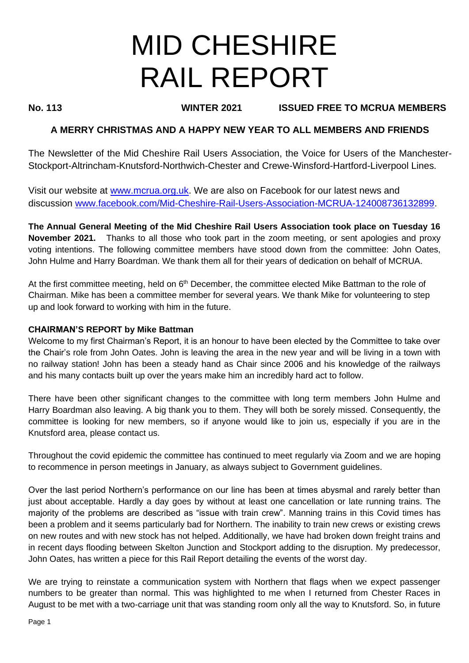# MID CHESHIRE RAIL REPORT

# **No. 113 WINTER 2021 ISSUED FREE TO MCRUA MEMBERS**

# **A MERRY CHRISTMAS AND A HAPPY NEW YEAR TO ALL MEMBERS AND FRIENDS**

The Newsletter of the Mid Cheshire Rail Users Association, the Voice for Users of the Manchester-Stockport-Altrincham-Knutsford-Northwich-Chester and Crewe-Winsford-Hartford-Liverpool Lines.

Visit our website at [www.mcrua.org.uk.](http://www.mcrua.org.uk/) We are also on Facebook for our latest news and discussion [www.facebook.com/Mid-Cheshire-Rail-Users-Association-MCRUA-124008736132899.](http://www.facebook.com/Mid-Cheshire-Rail-Users-Association-MCRUA-124008736132899)

**The Annual General Meeting of the Mid Cheshire Rail Users Association took place on Tuesday 16 November 2021.** Thanks to all those who took part in the zoom meeting, or sent apologies and proxy voting intentions. The following committee members have stood down from the committee: John Oates, John Hulme and Harry Boardman. We thank them all for their years of dedication on behalf of MCRUA.

At the first committee meeting, held on  $6<sup>th</sup>$  December, the committee elected Mike Battman to the role of Chairman. Mike has been a committee member for several years. We thank Mike for volunteering to step up and look forward to working with him in the future.

#### **CHAIRMAN'S REPORT by Mike Battman**

Welcome to my first Chairman's Report, it is an honour to have been elected by the Committee to take over the Chair's role from John Oates. John is leaving the area in the new year and will be living in a town with no railway station! John has been a steady hand as Chair since 2006 and his knowledge of the railways and his many contacts built up over the years make him an incredibly hard act to follow.

There have been other significant changes to the committee with long term members John Hulme and Harry Boardman also leaving. A big thank you to them. They will both be sorely missed. Consequently, the committee is looking for new members, so if anyone would like to join us, especially if you are in the Knutsford area, please contact us.

Throughout the covid epidemic the committee has continued to meet regularly via Zoom and we are hoping to recommence in person meetings in January, as always subject to Government guidelines.

Over the last period Northern's performance on our line has been at times abysmal and rarely better than just about acceptable. Hardly a day goes by without at least one cancellation or late running trains. The majority of the problems are described as "issue with train crew". Manning trains in this Covid times has been a problem and it seems particularly bad for Northern. The inability to train new crews or existing crews on new routes and with new stock has not helped. Additionally, we have had broken down freight trains and in recent days flooding between Skelton Junction and Stockport adding to the disruption. My predecessor, John Oates, has written a piece for this Rail Report detailing the events of the worst day.

We are trying to reinstate a communication system with Northern that flags when we expect passenger numbers to be greater than normal. This was highlighted to me when I returned from Chester Races in August to be met with a two-carriage unit that was standing room only all the way to Knutsford. So, in future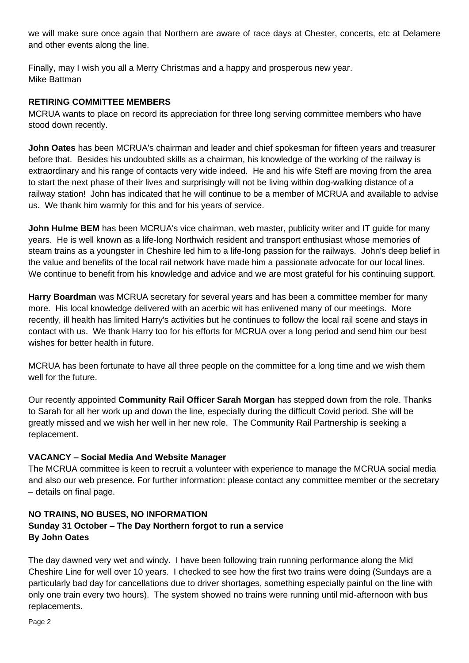we will make sure once again that Northern are aware of race days at Chester, concerts, etc at Delamere and other events along the line.

Finally, may I wish you all a Merry Christmas and a happy and prosperous new year. Mike Battman

# **RETIRING COMMITTEE MEMBERS**

MCRUA wants to place on record its appreciation for three long serving committee members who have stood down recently.

**John Oates** has been MCRUA's chairman and leader and chief spokesman for fifteen years and treasurer before that. Besides his undoubted skills as a chairman, his knowledge of the working of the railway is extraordinary and his range of contacts very wide indeed. He and his wife Steff are moving from the area to start the next phase of their lives and surprisingly will not be living within dog-walking distance of a railway station! John has indicated that he will continue to be a member of MCRUA and available to advise us. We thank him warmly for this and for his years of service.

**John Hulme BEM** has been MCRUA's vice chairman, web master, publicity writer and IT guide for many years. He is well known as a life-long Northwich resident and transport enthusiast whose memories of steam trains as a youngster in Cheshire led him to a life-long passion for the railways. John's deep belief in the value and benefits of the local rail network have made him a passionate advocate for our local lines. We continue to benefit from his knowledge and advice and we are most grateful for his continuing support.

**Harry Boardman** was MCRUA secretary for several years and has been a committee member for many more. His local knowledge delivered with an acerbic wit has enlivened many of our meetings. More recently, ill health has limited Harry's activities but he continues to follow the local rail scene and stays in contact with us. We thank Harry too for his efforts for MCRUA over a long period and send him our best wishes for better health in future.

MCRUA has been fortunate to have all three people on the committee for a long time and we wish them well for the future.

Our recently appointed **Community Rail Officer Sarah Morgan** has stepped down from the role. Thanks to Sarah for all her work up and down the line, especially during the difficult Covid period. She will be greatly missed and we wish her well in her new role. The Community Rail Partnership is seeking a replacement.

# **VACANCY – Social Media And Website Manager**

The MCRUA committee is keen to recruit a volunteer with experience to manage the MCRUA social media and also our web presence. For further information: please contact any committee member or the secretary – details on final page.

# **NO TRAINS, NO BUSES, NO INFORMATION Sunday 31 October – The Day Northern forgot to run a service By John Oates**

The day dawned very wet and windy. I have been following train running performance along the Mid Cheshire Line for well over 10 years. I checked to see how the first two trains were doing (Sundays are a particularly bad day for cancellations due to driver shortages, something especially painful on the line with only one train every two hours). The system showed no trains were running until mid-afternoon with bus replacements.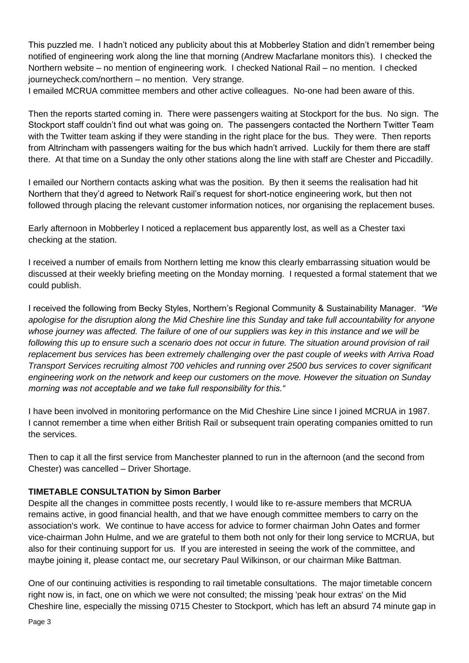This puzzled me. I hadn't noticed any publicity about this at Mobberley Station and didn't remember being notified of engineering work along the line that morning (Andrew Macfarlane monitors this). I checked the Northern website – no mention of engineering work. I checked National Rail – no mention. I checked journeycheck.com/northern – no mention. Very strange.

I emailed MCRUA committee members and other active colleagues. No-one had been aware of this.

Then the reports started coming in. There were passengers waiting at Stockport for the bus. No sign. The Stockport staff couldn't find out what was going on. The passengers contacted the Northern Twitter Team with the Twitter team asking if they were standing in the right place for the bus. They were. Then reports from Altrincham with passengers waiting for the bus which hadn't arrived. Luckily for them there are staff there. At that time on a Sunday the only other stations along the line with staff are Chester and Piccadilly.

I emailed our Northern contacts asking what was the position. By then it seems the realisation had hit Northern that they'd agreed to Network Rail's request for short-notice engineering work, but then not followed through placing the relevant customer information notices, nor organising the replacement buses.

Early afternoon in Mobberley I noticed a replacement bus apparently lost, as well as a Chester taxi checking at the station.

I received a number of emails from Northern letting me know this clearly embarrassing situation would be discussed at their weekly briefing meeting on the Monday morning. I requested a formal statement that we could publish.

I received the following from Becky Styles, Northern's Regional Community & Sustainability Manager. *"We apologise for the disruption along the Mid Cheshire line this Sunday and take full accountability for anyone whose journey was affected. The failure of one of our suppliers was key in this instance and we will be*  following this up to ensure such a scenario does not occur in future. The situation around provision of rail *replacement bus services has been extremely challenging over the past couple of weeks with Arriva Road Transport Services recruiting almost 700 vehicles and running over 2500 bus services to cover significant engineering work on the network and keep our customers on the move. However the situation on Sunday morning was not acceptable and we take full responsibility for this."*

I have been involved in monitoring performance on the Mid Cheshire Line since I joined MCRUA in 1987. I cannot remember a time when either British Rail or subsequent train operating companies omitted to run the services.

Then to cap it all the first service from Manchester planned to run in the afternoon (and the second from Chester) was cancelled – Driver Shortage.

# **TIMETABLE CONSULTATION by Simon Barber**

Despite all the changes in committee posts recently, I would like to re-assure members that MCRUA remains active, in good financial health, and that we have enough committee members to carry on the association's work. We continue to have access for advice to former chairman John Oates and former vice-chairman John Hulme, and we are grateful to them both not only for their long service to MCRUA, but also for their continuing support for us. If you are interested in seeing the work of the committee, and maybe joining it, please contact me, our secretary Paul Wilkinson, or our chairman Mike Battman.

One of our continuing activities is responding to rail timetable consultations. The major timetable concern right now is, in fact, one on which we were not consulted; the missing 'peak hour extras' on the Mid Cheshire line, especially the missing 0715 Chester to Stockport, which has left an absurd 74 minute gap in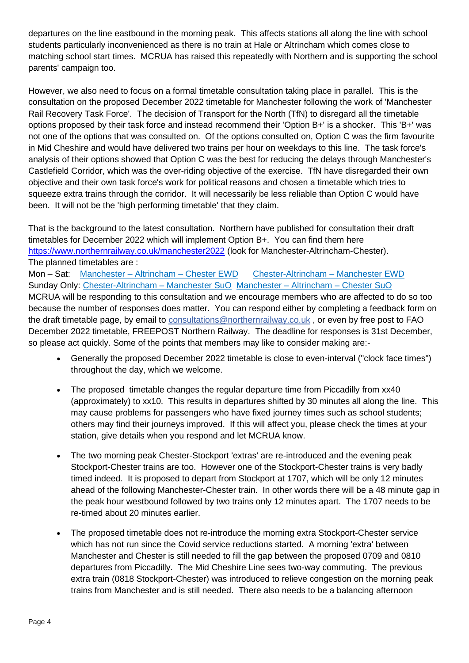departures on the line eastbound in the morning peak. This affects stations all along the line with school students particularly inconvenienced as there is no train at Hale or Altrincham which comes close to matching school start times. MCRUA has raised this repeatedly with Northern and is supporting the school parents' campaign too.

However, we also need to focus on a formal timetable consultation taking place in parallel. This is the consultation on the proposed December 2022 timetable for Manchester following the work of 'Manchester Rail Recovery Task Force'. The decision of Transport for the North (TfN) to disregard all the timetable options proposed by their task force and instead recommend their 'Option B+' is a shocker. This 'B+' was not one of the options that was consulted on. Of the options consulted on, Option C was the firm favourite in Mid Cheshire and would have delivered two trains per hour on weekdays to this line. The task force's analysis of their options showed that Option C was the best for reducing the delays through Manchester's Castlefield Corridor, which was the over-riding objective of the exercise. TfN have disregarded their own objective and their own task force's work for political reasons and chosen a timetable which tries to squeeze extra trains through the corridor. It will necessarily be less reliable than Option C would have been. It will not be the 'high performing timetable' that they claim.

That is the background to the latest consultation. Northern have published for consultation their draft timetables for December 2022 which will implement Option B+. You can find them here <https://www.northernrailway.co.uk/manchester2022> (look for Manchester-Altrincham-Chester). The planned timetables are :

Mon – Sat: Manchester – Altrincham – [Chester EWD](https://www.northernrailway.co.uk/images/manchesterTT/Manchester_-_Altrincham_-_Chester_EWD.pdf) [Chester-Altrincham –](https://www.northernrailway.co.uk/images/manchesterTT/Chester_-_Altrincham_-_Manchester_EWD.pdf) Manchester EWD Sunday Only: [Chester-Altrincham –](https://www.northernrailway.co.uk/images/manchesterTT/Chester_-_Altrincham_-_Manchester_SuO.pdf) Manchester SuO [Manchester –](https://www.northernrailway.co.uk/images/manchesterTT/Manchester_-_Altrincham_-_Chester_SuO.pdf) Altrincham – Chester SuO MCRUA will be responding to this consultation and we encourage members who are affected to do so too because the number of responses does matter. You can respond either by completing a feedback form on the draft timetable page, by email to [consultations@northernrailway.co.uk](https://link.getmailspring.com/link/91847416-3937-48D6-925A-9FF0B4EE0E76@getmailspring.com/1?redirect=mailto%3Aconsultations%40northernrailway.co.uk&recipient=bWVtYmVyc2hpcEBtY3J1YS5vcmcudWs%3D) , or even by free post to FAO December 2022 timetable, FREEPOST Northern Railway. The deadline for responses is 31st December, so please act quickly. Some of the points that members may like to consider making are:-

- Generally the proposed December 2022 timetable is close to even-interval ("clock face times") throughout the day, which we welcome.
- The proposed timetable changes the regular departure time from Piccadilly from xx40 (approximately) to xx10. This results in departures shifted by 30 minutes all along the line. This may cause problems for passengers who have fixed journey times such as school students; others may find their journeys improved. If this will affect you, please check the times at your station, give details when you respond and let MCRUA know.
- The two morning peak Chester-Stockport 'extras' are re-introduced and the evening peak Stockport-Chester trains are too. However one of the Stockport-Chester trains is very badly timed indeed. It is proposed to depart from Stockport at 1707, which will be only 12 minutes ahead of the following Manchester-Chester train. In other words there will be a 48 minute gap in the peak hour westbound followed by two trains only 12 minutes apart. The 1707 needs to be re-timed about 20 minutes earlier.
- The proposed timetable does not re-introduce the morning extra Stockport-Chester service which has not run since the Covid service reductions started. A morning 'extra' between Manchester and Chester is still needed to fill the gap between the proposed 0709 and 0810 departures from Piccadilly. The Mid Cheshire Line sees two-way commuting. The previous extra train (0818 Stockport-Chester) was introduced to relieve congestion on the morning peak trains from Manchester and is still needed. There also needs to be a balancing afternoon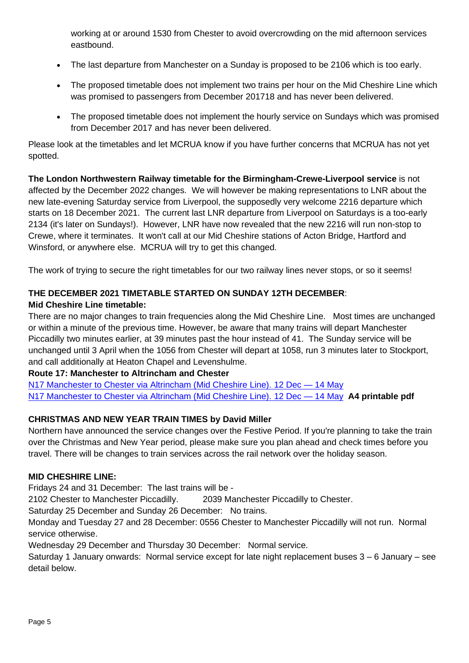working at or around 1530 from Chester to avoid overcrowding on the mid afternoon services eastbound.

- The last departure from Manchester on a Sunday is proposed to be 2106 which is too early.
- The proposed timetable does not implement two trains per hour on the Mid Cheshire Line which was promised to passengers from December 201718 and has never been delivered.
- The proposed timetable does not implement the hourly service on Sundays which was promised from December 2017 and has never been delivered.

Please look at the timetables and let MCRUA know if you have further concerns that MCRUA has not yet spotted.

**The London Northwestern Railway timetable for the Birmingham-Crewe-Liverpool service** is not affected by the December 2022 changes. We will however be making representations to LNR about the new late-evening Saturday service from Liverpool, the supposedly very welcome 2216 departure which starts on 18 December 2021. The current last LNR departure from Liverpool on Saturdays is a too-early 2134 (it's later on Sundays!). However, LNR have now revealed that the new 2216 will run non-stop to Crewe, where it terminates. It won't call at our Mid Cheshire stations of Acton Bridge, Hartford and Winsford, or anywhere else. MCRUA will try to get this changed.

The work of trying to secure the right timetables for our two railway lines never stops, or so it seems!

# **THE DECEMBER 2021 TIMETABLE STARTED ON SUNDAY 12TH DECEMBER**: **Mid Cheshire Line timetable:**

There are no major changes to train frequencies along the Mid Cheshire Line. Most times are unchanged or within a minute of the previous time. However, be aware that many trains will depart Manchester Piccadilly two minutes earlier, at 39 minutes past the hour instead of 41. The Sunday service will be unchanged until 3 April when the 1056 from Chester will depart at 1058, run 3 minutes later to Stockport, and call additionally at Heaton Chapel and Levenshulme.

# **Route 17: Manchester to Altrincham and Chester**

N17 [Manchester to Chester via Altrincham \(Mid Cheshire Line\).](https://d11vpqhghel6qd.cloudfront.net/images/timetables/bucket2/manchester-to-chester-via-altrincham-mid-cheshire-line-4900-r1wlbl.pdf) 12 Dec — 14 May N17 [Manchester to Chester via Altrincham \(Mid Cheshire Line\).](https://d11vpqhghel6qd.cloudfront.net/images/timetables/bucket2/manchester-to-chester-via-altrincham-mid-cheshire-line-4985-r2nx4o.pdf) 12 Dec — 14 May **A4 printable pdf**

# **CHRISTMAS AND NEW YEAR TRAIN TIMES by David Miller**

Northern have announced the service changes over the Festive Period. If you're planning to take the train over the Christmas and New Year period, please make sure you plan ahead and check times before you travel. There will be changes to train services across the rail network over the holiday season.

# **MID CHESHIRE LINE:**

Fridays 24 and 31 December: The last trains will be -

2102 Chester to Manchester Piccadilly. 2039 Manchester Piccadilly to Chester.

Saturday 25 December and Sunday 26 December: No trains.

Monday and Tuesday 27 and 28 December: 0556 Chester to Manchester Piccadilly will not run. Normal service otherwise.

Wednesday 29 December and Thursday 30 December: Normal service.

Saturday 1 January onwards: Normal service except for late night replacement buses 3 – 6 January – see detail below.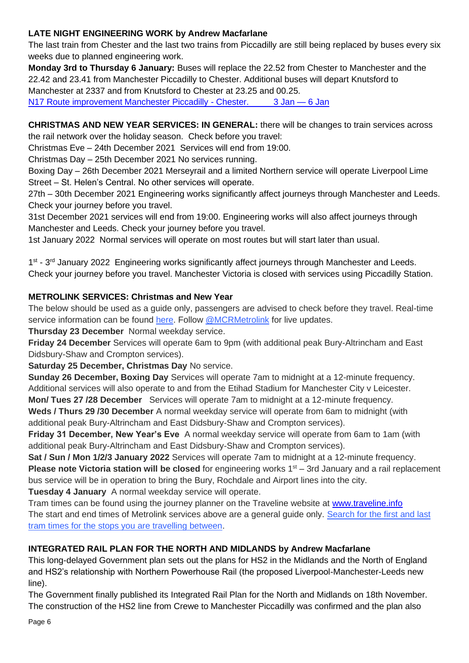# **LATE NIGHT ENGINEERING WORK by Andrew Macfarlane**

The last train from Chester and the last two trains from Piccadilly are still being replaced by buses every six weeks due to planned engineering work.

**Monday 3rd to Thursday 6 January:** Buses will replace the 22.52 from Chester to Manchester and the 22.42 and 23.41 from Manchester Piccadilly to Chester. Additional buses will depart Knutsford to Manchester at 2337 and from Knutsford to Chester at 23.25 and 00.25. N17 [Route improvement Manchester Piccadilly -](https://d11vpqhghel6qd.cloudfront.net/images/timetables/bucket2/manchester-piccadilly---chester-5043-r3jipe.pdf) Chester. 3 Jan - 6 Jan

**CHRISTMAS AND NEW YEAR SERVICES: IN GENERAL:** there will be changes to train services across the rail network over the holiday season. Check before you travel:

Christmas Eve – 24th December 2021 Services will end from 19:00.

Christmas Day – 25th December 2021 No services running.

Boxing Day – 26th December 2021 Merseyrail and a limited Northern service will operate Liverpool Lime Street – St. Helen's Central. No other services will operate.

27th – 30th December 2021 Engineering works significantly affect journeys through Manchester and Leeds. Check your journey before you travel.

31st December 2021 services will end from 19:00. Engineering works will also affect journeys through Manchester and Leeds. Check your journey before you travel.

1st January 2022 Normal services will operate on most routes but will start later than usual.

1<sup>st</sup> - 3<sup>rd</sup> January 2022 Engineering works significantly affect journeys through Manchester and Leeds. Check your journey before you travel. Manchester Victoria is closed with services using Piccadilly Station.

# **METROLINK SERVICES: Christmas and New Year**

The below should be used as a guide only, passengers are advised to check before they travel. Real-time service information can be found [here.](https://tfgm.com/public-transport/tram) Follow [@MCRMetrolink](https://twitter.com/MCRMetrolink?ref_src=twsrc%5Egoogle%7Ctwcamp%5Eserp%7Ctwgr%5Eauthor) for live updates.

**Thursday 23 December** Normal weekday service.

**Friday 24 December** Services will operate 6am to 9pm (with additional peak Bury-Altrincham and East Didsbury-Shaw and Crompton services).

**Saturday 25 December, Christmas Day** No service.

**Sunday 26 December, Boxing Day** Services will operate 7am to midnight at a 12-minute frequency. Additional services will also operate to and from the Etihad Stadium for Manchester City v Leicester.

**Mon/ Tues 27 /28 December** Services will operate 7am to midnight at a 12-minute frequency.

**Weds / Thurs 29 /30 December** A normal weekday service will operate from 6am to midnight (with additional peak Bury-Altrincham and East Didsbury-Shaw and Crompton services).

**Friday 31 December, New Year's Eve** A normal weekday service will operate from 6am to 1am (with additional peak Bury-Altrincham and East Didsbury-Shaw and Crompton services).

**Sat / Sun / Mon 1/2/3 January 2022** Services will operate 7am to midnight at a 12-minute frequency. **Please note Victoria station will be closed** for engineering works 1<sup>st</sup> – 3rd January and a rail replacement bus service will be in operation to bring the Bury, Rochdale and Airport lines into the city. **Tuesday 4 January** A normal weekday service will operate.

Tram times can be found using the journey planner on the Traveline website at [www.traveline.info](http://www.traveline.info/) The start and end times of Metrolink services above are a general guide only. [Search for the first and last](https://tfgm.com/public-transport/tram/tram-times)  [tram times for the stops you are travelling between.](https://tfgm.com/public-transport/tram/tram-times)

# **INTEGRATED RAIL PLAN FOR THE NORTH AND MIDLANDS by Andrew Macfarlane**

This long-delayed Government plan sets out the plans for HS2 in the Midlands and the North of England and HS2's relationship with Northern Powerhouse Rail (the proposed Liverpool-Manchester-Leeds new line).

The Government finally published its Integrated Rail Plan for the North and Midlands on 18th November. The construction of the HS2 line from Crewe to Manchester Piccadilly was confirmed and the plan also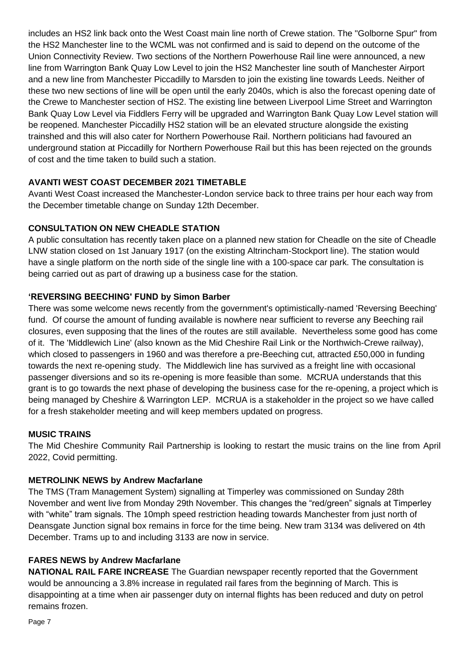includes an HS2 link back onto the West Coast main line north of Crewe station. The "Golborne Spur" from the HS2 Manchester line to the WCML was not confirmed and is said to depend on the outcome of the Union Connectivity Review. Two sections of the Northern Powerhouse Rail line were announced, a new line from Warrington Bank Quay Low Level to join the HS2 Manchester line south of Manchester Airport and a new line from Manchester Piccadilly to Marsden to join the existing line towards Leeds. Neither of these two new sections of line will be open until the early 2040s, which is also the forecast opening date of the Crewe to Manchester section of HS2. The existing line between Liverpool Lime Street and Warrington Bank Quay Low Level via Fiddlers Ferry will be upgraded and Warrington Bank Quay Low Level station will be reopened. Manchester Piccadilly HS2 station will be an elevated structure alongside the existing trainshed and this will also cater for Northern Powerhouse Rail. Northern politicians had favoured an underground station at Piccadilly for Northern Powerhouse Rail but this has been rejected on the grounds of cost and the time taken to build such a station.

# **AVANTI WEST COAST DECEMBER 2021 TIMETABLE**

Avanti West Coast increased the Manchester-London service back to three trains per hour each way from the December timetable change on Sunday 12th December.

# **CONSULTATION ON NEW CHEADLE STATION**

A public consultation has recently taken place on a planned new station for Cheadle on the site of Cheadle LNW station closed on 1st January 1917 (on the existing Altrincham-Stockport line). The station would have a single platform on the north side of the single line with a 100-space car park. The consultation is being carried out as part of drawing up a business case for the station.

# **'REVERSING BEECHING' FUND by Simon Barber**

There was some welcome news recently from the government's optimistically-named 'Reversing Beeching' fund. Of course the amount of funding available is nowhere near sufficient to reverse any Beeching rail closures, even supposing that the lines of the routes are still available. Nevertheless some good has come of it. The 'Middlewich Line' (also known as the Mid Cheshire Rail Link or the Northwich-Crewe railway), which closed to passengers in 1960 and was therefore a pre-Beeching cut, attracted £50,000 in funding towards the next re-opening study. The Middlewich line has survived as a freight line with occasional passenger diversions and so its re-opening is more feasible than some. MCRUA understands that this grant is to go towards the next phase of developing the business case for the re-opening, a project which is being managed by Cheshire & Warrington LEP. MCRUA is a stakeholder in the project so we have called for a fresh stakeholder meeting and will keep members updated on progress.

# **MUSIC TRAINS**

The Mid Cheshire Community Rail Partnership is looking to restart the music trains on the line from April 2022, Covid permitting.

# **METROLINK NEWS by Andrew Macfarlane**

The TMS (Tram Management System) signalling at Timperley was commissioned on Sunday 28th November and went live from Monday 29th November. This changes the "red/green" signals at Timperley with "white" tram signals. The 10mph speed restriction heading towards Manchester from just north of Deansgate Junction signal box remains in force for the time being. New tram 3134 was delivered on 4th December. Trams up to and including 3133 are now in service.

# **FARES NEWS by Andrew Macfarlane**

**NATIONAL RAIL FARE INCREASE** The Guardian newspaper recently reported that the Government would be announcing a 3.8% increase in regulated rail fares from the beginning of March. This is disappointing at a time when air passenger duty on internal flights has been reduced and duty on petrol remains frozen.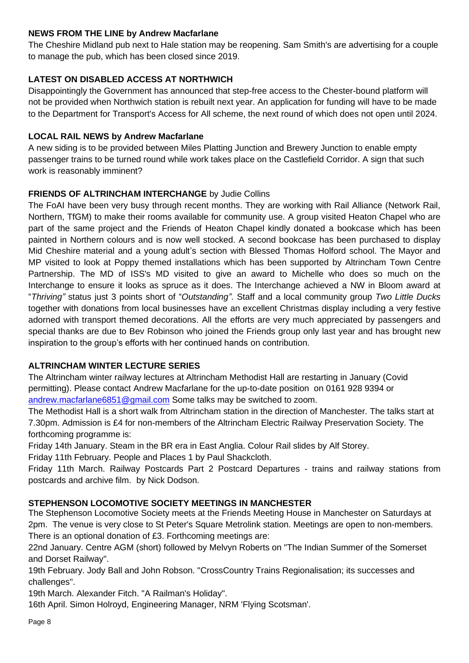# **NEWS FROM THE LINE by Andrew Macfarlane**

The Cheshire Midland pub next to Hale station may be reopening. Sam Smith's are advertising for a couple to manage the pub, which has been closed since 2019.

# **LATEST ON DISABLED ACCESS AT NORTHWICH**

Disappointingly the Government has announced that step-free access to the Chester-bound platform will not be provided when Northwich station is rebuilt next year. An application for funding will have to be made to the Department for Transport's Access for All scheme, the next round of which does not open until 2024.

# **LOCAL RAIL NEWS by Andrew Macfarlane**

A new siding is to be provided between Miles Platting Junction and Brewery Junction to enable empty passenger trains to be turned round while work takes place on the Castlefield Corridor. A sign that such work is reasonably imminent?

# **FRIENDS OF ALTRINCHAM INTERCHANGE** by Judie Collins

The FoAI have been very busy through recent months. They are working with Rail Alliance (Network Rail, Northern, TfGM) to make their rooms available for community use. A group visited Heaton Chapel who are part of the same project and the Friends of Heaton Chapel kindly donated a bookcase which has been painted in Northern colours and is now well stocked. A second bookcase has been purchased to display Mid Cheshire material and a young adult's section with Blessed Thomas Holford school. The Mayor and MP visited to look at Poppy themed installations which has been supported by Altrincham Town Centre Partnership. The MD of ISS's MD visited to give an award to Michelle who does so much on the Interchange to ensure it looks as spruce as it does. The Interchange achieved a NW in Bloom award at "*Thriving"* status just 3 points short of "*Outstanding"*. Staff and a local community group *Two Little Ducks* together with donations from local businesses have an excellent Christmas display including a very festive adorned with transport themed decorations. All the efforts are very much appreciated by passengers and special thanks are due to Bev Robinson who joined the Friends group only last year and has brought new inspiration to the group's efforts with her continued hands on contribution.

# **ALTRINCHAM WINTER LECTURE SERIES**

The Altrincham winter railway lectures at Altrincham Methodist Hall are restarting in January (Covid permitting). Please contact Andrew Macfarlane for the up-to-date position on 0161 928 9394 or [andrew.macfarlane6851@gmail.com](mailto:andrew.macfarlane6851@gmail.com) Some talks may be switched to zoom.

The Methodist Hall is a short walk from Altrincham station in the direction of Manchester. The talks start at 7.30pm. Admission is £4 for non-members of the Altrincham Electric Railway Preservation Society. The forthcoming programme is:

Friday 14th January. Steam in the BR era in East Anglia. Colour Rail slides by Alf Storey.

Friday 11th February. People and Places 1 by Paul Shackcloth.

Friday 11th March. Railway Postcards Part 2 Postcard Departures - trains and railway stations from postcards and archive film. by Nick Dodson.

# **STEPHENSON LOCOMOTIVE SOCIETY MEETINGS IN MANCHESTER**

The Stephenson Locomotive Society meets at the Friends Meeting House in Manchester on Saturdays at 2pm. The venue is very close to St Peter's Square Metrolink station. Meetings are open to non-members. There is an optional donation of £3. Forthcoming meetings are:

22nd January. Centre AGM (short) followed by Melvyn Roberts on "The Indian Summer of the Somerset and Dorset Railway".

19th February. Jody Ball and John Robson. "CrossCountry Trains Regionalisation; its successes and challenges".

19th March. Alexander Fitch. "A Railman's Holiday".

16th April. Simon Holroyd, Engineering Manager, NRM 'Flying Scotsman'.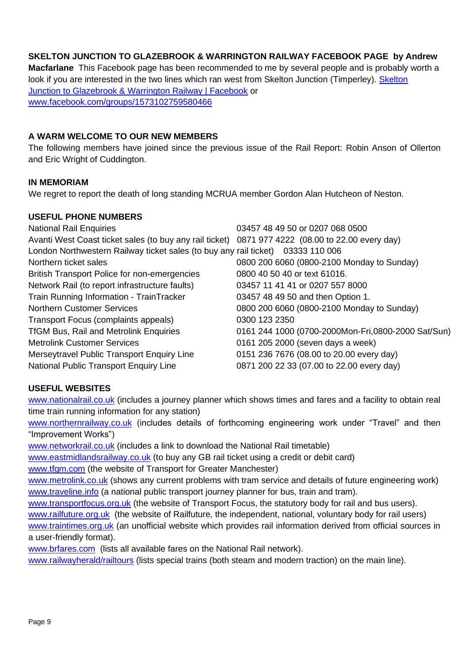# **SKELTON JUNCTION TO GLAZEBROOK & WARRINGTON RAILWAY FACEBOOK PAGE by Andrew**

**Macfarlane** This Facebook page has been recommended to me by several people and is probably worth a look if you are interested in the two lines which ran west from Skelton Junction (Timperley). [Skelton](https://www.facebook.com/groups/1573102759580466)  [Junction to Glazebrook & Warrington Railway | Facebook](https://www.facebook.com/groups/1573102759580466) or [www.facebook.com/groups/1573102759580466](http://www.facebook.com/groups/1573102759580466)

#### **A WARM WELCOME TO OUR NEW MEMBERS**

The following members have joined since the previous issue of the Rail Report: Robin Anson of Ollerton and Eric Wright of Cuddington.

#### **IN MEMORIAM**

We regret to report the death of long standing MCRUA member Gordon Alan Hutcheon of Neston.

#### **USEFUL PHONE NUMBERS**

| 03457 48 49 50 or 0207 068 0500                                                                  |
|--------------------------------------------------------------------------------------------------|
| Avanti West Coast ticket sales (to buy any rail ticket) 0871 977 4222 (08.00 to 22.00 every day) |
| London Northwestern Railway ticket sales (to buy any rail ticket) 03333 110 006                  |
| 0800 200 6060 (0800-2100 Monday to Sunday)                                                       |
| 0800 40 50 40 or text 61016.                                                                     |
| 03457 11 41 41 or 0207 557 8000                                                                  |
| 03457 48 49 50 and then Option 1.                                                                |
| 0800 200 6060 (0800-2100 Monday to Sunday)                                                       |
| 0300 123 2350                                                                                    |
| 0161 244 1000 (0700-2000Mon-Fri,0800-2000 Sat/Sun)                                               |
| 0161 205 2000 (seven days a week)                                                                |
| 0151 236 7676 (08.00 to 20.00 every day)                                                         |
| 0871 200 22 33 (07.00 to 22.00 every day)                                                        |
|                                                                                                  |

#### **USEFUL WEBSITES**

[www.nationalrail.co.uk](http://www.nationalrail.co.uk/) (includes a journey planner which shows times and fares and a facility to obtain real time train running information for any station)

[www.northernrailway.co.uk](http://www.northernrail.org/) (includes details of forthcoming engineering work under "Travel" and then "Improvement Works")

[www.networkrail.co.uk](http://www.networkrail.co.uk/) (includes a link to download the National Rail timetable)

[www.eastmidlandsrailway.co.uk](http://www.eastmidlandsrailway.co.uk/) (to buy any GB rail ticket using a credit or debit card)

[www.tfgm.com](http://www.tfgm.com/) (the website of Transport for Greater Manchester)

[www.metrolink.co.uk](http://www.metrolink.co.uk/) (shows any current problems with tram service and details of future engineering work) [www.traveline.info](http://www.traveline.info/) (a national public transport journey planner for bus, train and tram).

[www.transportfocus.org.uk](http://www.transportfocus.org.uk/) (the website of Transport Focus, the statutory body for rail and bus users).

[www.railfuture.org.uk](http://www.railfuture.org.uk/) (the website of Railfuture, the independent, national, voluntary body for rail users)

[www.traintimes.org.uk](http://www.traintimes.org.uk/) (an unofficial website which provides rail information derived from official sources in a user-friendly format).

[www.brfares.com](http://www.brfares.com/) (lists all available fares on the National Rail network).

[www.railwayherald/railtours](http://www.railwayherald/railtours) (lists special trains (both steam and modern traction) on the main line).